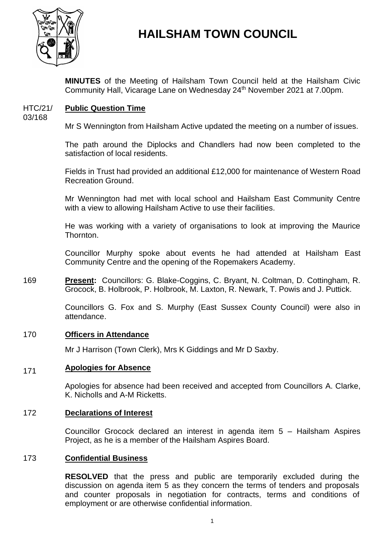

# **HAILSHAM TOWN COUNCIL**

**MINUTES** of the Meeting of Hailsham Town Council held at the Hailsham Civic Community Hall, Vicarage Lane on Wednesday 24<sup>th</sup> November 2021 at 7.00pm.

#### HTC/21/ **Public Question Time**

03/168

Mr S Wennington from Hailsham Active updated the meeting on a number of issues.

The path around the Diplocks and Chandlers had now been completed to the satisfaction of local residents.

Fields in Trust had provided an additional £12,000 for maintenance of Western Road Recreation Ground.

Mr Wennington had met with local school and Hailsham East Community Centre with a view to allowing Hailsham Active to use their facilities.

He was working with a variety of organisations to look at improving the Maurice Thornton.

Councillor Murphy spoke about events he had attended at Hailsham East Community Centre and the opening of the Ropemakers Academy.

169 **Present:** Councillors: G. Blake-Coggins, C. Bryant, N. Coltman, D. Cottingham, R. Grocock, B. Holbrook, P. Holbrook, M. Laxton, R. Newark, T. Powis and J. Puttick.

> Councillors G. Fox and S. Murphy (East Sussex County Council) were also in attendance.

#### 170 **Officers in Attendance**

Mr J Harrison (Town Clerk), Mrs K Giddings and Mr D Saxby.

#### 171 **Apologies for Absence**

Apologies for absence had been received and accepted from Councillors A. Clarke, K. Nicholls and A-M Ricketts.

### 172 **Declarations of Interest**

Councillor Grocock declared an interest in agenda item 5 – Hailsham Aspires Project, as he is a member of the Hailsham Aspires Board.

### 173 **Confidential Business**

**RESOLVED** that the press and public are temporarily excluded during the discussion on agenda item 5 as they concern the terms of tenders and proposals and counter proposals in negotiation for contracts, terms and conditions of employment or are otherwise confidential information.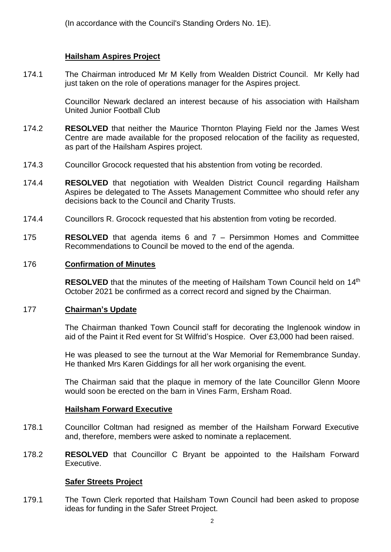(In accordance with the Council's Standing Orders No. 1E).

# **Hailsham Aspires Project**

174.1 The Chairman introduced Mr M Kelly from Wealden District Council. Mr Kelly had just taken on the role of operations manager for the Aspires project.

> Councillor Newark declared an interest because of his association with Hailsham United Junior Football Club

- 174.2 **RESOLVED** that neither the Maurice Thornton Playing Field nor the James West Centre are made available for the proposed relocation of the facility as requested, as part of the Hailsham Aspires project.
- 174.3 Councillor Grocock requested that his abstention from voting be recorded.
- 174.4 **RESOLVED** that negotiation with Wealden District Council regarding Hailsham Aspires be delegated to The Assets Management Committee who should refer any decisions back to the Council and Charity Trusts.
- 174.4 Councillors R. Grocock requested that his abstention from voting be recorded.
- 175 **RESOLVED** that agenda items 6 and 7 – Persimmon Homes and Committee Recommendations to Council be moved to the end of the agenda.

### 176 **Confirmation of Minutes**

RESOLVED that the minutes of the meeting of Hailsham Town Council held on 14<sup>th</sup> October 2021 be confirmed as a correct record and signed by the Chairman.

### 177 **Chairman's Update**

The Chairman thanked Town Council staff for decorating the Inglenook window in aid of the Paint it Red event for St Wilfrid's Hospice. Over £3,000 had been raised.

He was pleased to see the turnout at the War Memorial for Remembrance Sunday. He thanked Mrs Karen Giddings for all her work organising the event.

The Chairman said that the plaque in memory of the late Councillor Glenn Moore would soon be erected on the barn in Vines Farm, Ersham Road.

### **Hailsham Forward Executive**

- 178.1 Councillor Coltman had resigned as member of the Hailsham Forward Executive and, therefore, members were asked to nominate a replacement.
- 178.2 **RESOLVED** that Councillor C Bryant be appointed to the Hailsham Forward Executive.

### **Safer Streets Project**

179.1 The Town Clerk reported that Hailsham Town Council had been asked to propose ideas for funding in the Safer Street Project.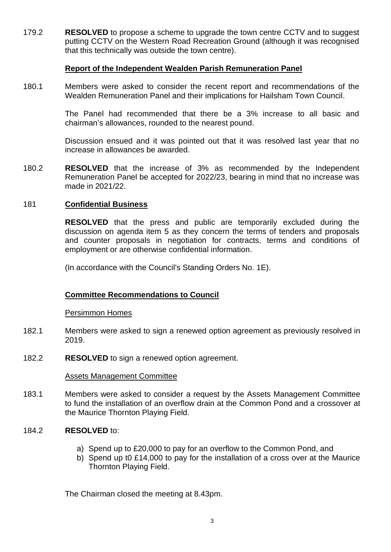179.2 **RESOLVED** to propose a scheme to upgrade the town centre CCTV and to suggest putting CCTV on the Western Road Recreation Ground (although it was recognised that this technically was outside the town centre).

### **Report of the Independent Wealden Parish Remuneration Panel**

180.1 Members were asked to consider the recent report and recommendations of the Wealden Remuneration Panel and their implications for Hailsham Town Council.

> The Panel had recommended that there be a 3% increase to all basic and chairman's allowances, rounded to the nearest pound.

> Discussion ensued and it was pointed out that it was resolved last year that no increase in allowances be awarded.

180.2 **RESOLVED** that the increase of 3% as recommended by the Independent Remuneration Panel be accepted for 2022/23, bearing in mind that no increase was made in 2021/22.

### 181 **Confidential Business**

**RESOLVED** that the press and public are temporarily excluded during the discussion on agenda item 5 as they concern the terms of tenders and proposals and counter proposals in negotiation for contracts, terms and conditions of employment or are otherwise confidential information.

(In accordance with the Council's Standing Orders No. 1E).

## **Committee Recommendations to Council**

### Persimmon Homes

- 182.1 Members were asked to sign a renewed option agreement as previously resolved in 2019.
- 182.2 **RESOLVED** to sign a renewed option agreement.

#### Assets Management Committee

183.1 Members were asked to consider a request by the Assets Management Committee to fund the installation of an overflow drain at the Common Pond and a crossover at the Maurice Thornton Playing Field.

#### 184.2 **RESOLVED** to:

- a) Spend up to £20,000 to pay for an overflow to the Common Pond, and
- b) Spend up t0 £14,000 to pay for the installation of a cross over at the Maurice Thornton Playing Field.

The Chairman closed the meeting at 8.43pm.